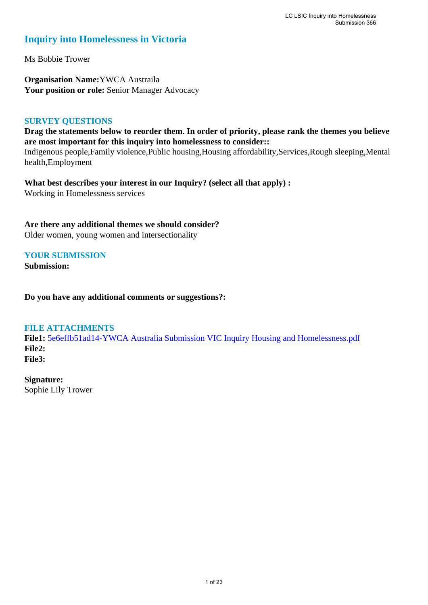### **Inquiry into Homelessness in Victoria**

Ms Bobbie Trower

**Organisation Name:**YWCA Austraila Your position or role: Senior Manager Advocacy

#### **SURVEY QUESTIONS**

**Drag the statements below to reorder them. In order of priority, please rank the themes you believe are most important for this inquiry into homelessness to consider::** 

Indigenous people,Family violence,Public housing,Housing affordability,Services,Rough sleeping,Mental health,Employment

**What best describes your interest in our Inquiry? (select all that apply) :**  Working in Homelessness services

**Are there any additional themes we should consider?** Older women, young women and intersectionality

### **YOUR SUBMISSION**

**Submission:** 

**Do you have any additional comments or suggestions?:** 

#### **FILE ATTACHMENTS**

**File1:** [5e6effb51ad14-YWCA Australia Submission VIC Inquiry Housing and Homelessness.pdf](https://www.parliament.vic.gov.au/component/rsform/submission-view-file/8f7f16c0cc980f2ae834dbf02c028a36/7cc2178ea38fcec3868e91451ea474ec?Itemid=527) **File2: File3:** 

**Signature:** Sophie Lily Trower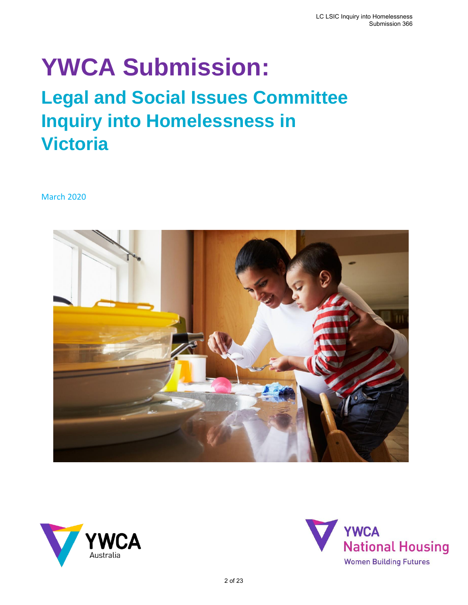# **YWCA Submission:**

## **Legal and Social Issues Committee Inquiry into Homelessness in Victoria**

March 2020





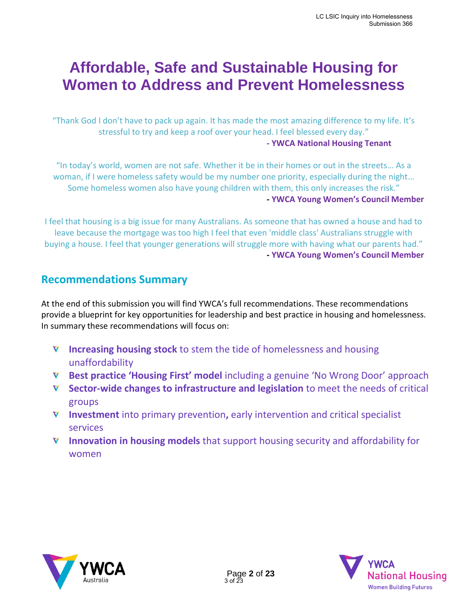### **Affordable, Safe and Sustainable Housing for Women to Address and Prevent Homelessness**

"Thank God I don't have to pack up again. It has made the most amazing difference to my life. It's stressful to try and keep a roof over your head. I feel blessed every day." **- YWCA National Housing Tenant** 

"In today's world, women are not safe. Whether it be in their homes or out in the streets… As a woman, if I were homeless safety would be my number one priority, especially during the night… Some homeless women also have young children with them, this only increases the risk." **- YWCA Young Women's Council Member**

I feel that housing is a big issue for many Australians. As someone that has owned a house and had to leave because the mortgage was too high I feel that even 'middle class' Australians struggle with buying a house. I feel that younger generations will struggle more with having what our parents had." **- YWCA Young Women's Council Member**

### **Recommendations Summary**

At the end of this submission you will find YWCA's full recommendations. These recommendations provide a blueprint for key opportunities for leadership and best practice in housing and homelessness. In summary these recommendations will focus on:

- **Increasing housing stock** to stem the tide of homelessness and housing unaffordability
- **Best practice 'Housing First' model** including a genuine 'No Wrong Door' approach
- **Sector-wide changes to infrastructure and legislation** to meet the needs of critical groups
- **Investment** into primary prevention**,** early intervention and critical specialist services
- **Innovation in housing models** that support housing security and affordability for women



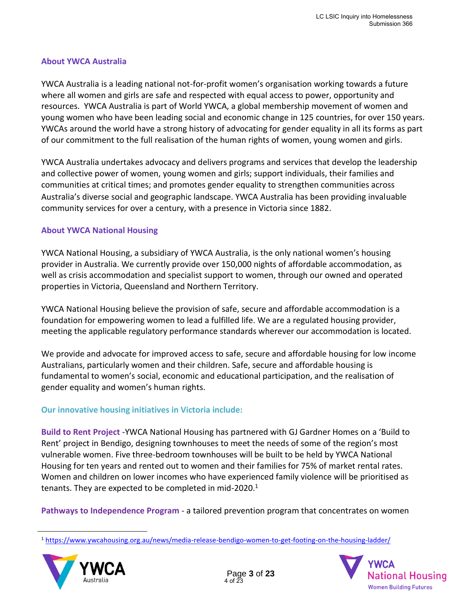### **About YWCA Australia**

YWCA Australia is a leading national not-for-profit women's organisation working towards a future where all women and girls are safe and respected with equal access to power, opportunity and resources.  YWCA Australia is part of World YWCA, a global membership movement of women and young women who have been leading social and economic change in 125 countries, for over 150 years. YWCAs around the world have a strong history of advocating for gender equality in all its forms as part of our commitment to the full realisation of the human rights of women, young women and girls.

YWCA Australia undertakes advocacy and delivers programs and services that develop the leadership and collective power of women, young women and girls; support individuals, their families and communities at critical times; and promotes gender equality to strengthen communities across Australia's diverse social and geographic landscape. YWCA Australia has been providing invaluable community services for over a century, with a presence in Victoria since 1882.

### **About YWCA National Housing**

YWCA National Housing, a subsidiary of YWCA Australia, is the only national women's housing provider in Australia. We currently provide over 150,000 nights of affordable accommodation, as well as crisis accommodation and specialist support to women, through our owned and operated properties in Victoria, Queensland and Northern Territory.

YWCA National Housing believe the provision of safe, secure and affordable accommodation is a foundation for empowering women to lead a fulfilled life. We are a regulated housing provider, meeting the applicable regulatory performance standards wherever our accommodation is located.

We provide and advocate for improved access to safe, secure and affordable housing for low income Australians, particularly women and their children. Safe, secure and affordable housing is fundamental to women's social, economic and educational participation, and the realisation of gender equality and women's human rights.

### **Our innovative housing initiatives in Victoria include:**

**Build to Rent Project** -YWCA National Housing has partnered with GJ Gardner Homes on a 'Build to Rent' project in Bendigo, designing townhouses to meet the needs of some of the region's most vulnerable women. Five three-bedroom townhouses will be built to be held by YWCA National Housing for ten years and rented out to women and their families for 75% of market rental rates. Women and children on lower incomes who have experienced family violence will be prioritised as tenants. They are expected to be completed in mid-2020. $1$ 

**Pathways to Independence Program** - a tailored prevention program that concentrates on women

<sup>1</sup> <https://www.ywcahousing.org.au/news/media-release-bendigo-women-to-get-footing-on-the-housing-ladder/>



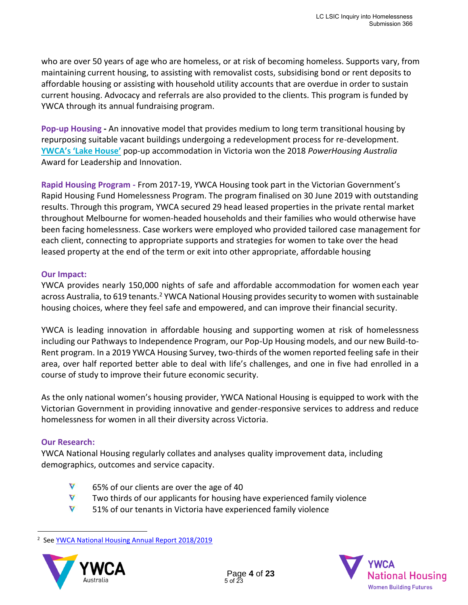who are over 50 years of age who are homeless, or at risk of becoming homeless. Supports vary, from maintaining current housing, to assisting with removalist costs, subsidising bond or rent deposits to affordable housing or assisting with household utility accounts that are overdue in order to sustain current housing. Advocacy and referrals are also provided to the clients. This program is funded by YWCA through its annual fundraising program.

**Pop-up Housing -** An innovative model that provides medium to long term transitional housing by repurposing suitable vacant buildings undergoing a redevelopment process for re-development. **[YWCA's 'Lake House'](https://www.ywcahousing.org.au/special-projects/)** pop-up accommodation in Victoria won the 2018 *PowerHousing Australia*  Award for Leadership and Innovation.

**Rapid Housing Program -** From 2017-19, YWCA Housing took part in the Victorian Government's Rapid Housing Fund Homelessness Program. The program finalised on 30 June 2019 with outstanding results. Through this program, YWCA secured 29 head leased properties in the private rental market throughout Melbourne for women-headed households and their families who would otherwise have been facing homelessness. Case workers were employed who provided tailored case management for each client, connecting to appropriate supports and strategies for women to take over the head leased property at the end of the term or exit into other appropriate, affordable housing

#### **Our Impact:**

YWCA provides nearly 150,000 nights of safe and affordable accommodation for women each year across Australia, to 619 tenants.<sup>2</sup> YWCA National Housing provides security to women with sustainable housing choices, where they feel safe and empowered, and can improve their financial security.

YWCA is leading innovation in affordable housing and supporting women at risk of homelessness including our Pathways to Independence Program, our Pop-Up Housing models, and our new Build-to-Rent program. In a 2019 YWCA Housing Survey, two-thirds of the women reported feeling safe in their area, over half reported better able to deal with life's challenges, and one in five had enrolled in a course of study to improve their future economic security.

As the only national women's housing provider, YWCA National Housing is equipped to work with the Victorian Government in providing innovative and gender-responsive services to address and reduce homelessness for women in all their diversity across Victoria.

#### **Our Research:**

YWCA National Housing regularly collates and analyses quality improvement data, including demographics, outcomes and service capacity.

- V 65% of our clients are over the age of 40
- V Two thirds of our applicants for housing have experienced family violence
- V 51% of our tenants in Victoria have experienced family violence

<sup>&</sup>lt;sup>2</sup> See **YWCA National Housing Annual Report 2018/2019** 



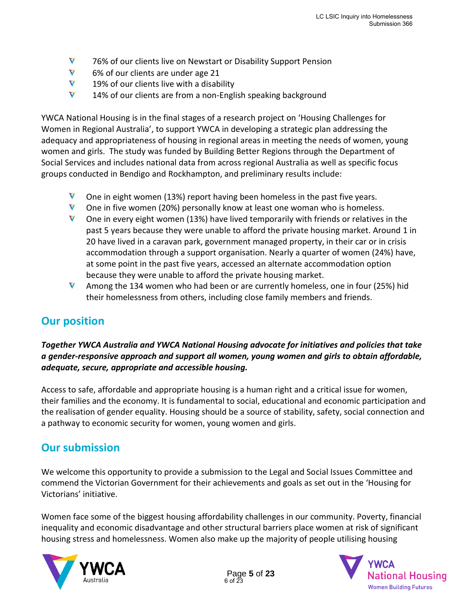- V 76% of our clients live on Newstart or Disability Support Pension
- V 6% of our clients are under age 21
- V 19% of our clients live with a disability
- V 14% of our clients are from a non-English speaking background

YWCA National Housing is in the final stages of a research project on 'Housing Challenges for Women in Regional Australia', to support YWCA in developing a strategic plan addressing the adequacy and appropriateness of housing in regional areas in meeting the needs of women, young women and girls. The study was funded by Building Better Regions through the Department of Social Services and includes national data from across regional Australia as well as specific focus groups conducted in Bendigo and Rockhampton, and preliminary results include:

- V One in eight women (13%) report having been homeless in the past five years.
- $\nabla$  One in five women (20%) personally know at least one woman who is homeless.
- V One in every eight women (13%) have lived temporarily with friends or relatives in the past 5 years because they were unable to afford the private housing market. Around 1 in 20 have lived in a caravan park, government managed property, in their car or in crisis accommodation through a support organisation. Nearly a quarter of women (24%) have, at some point in the past five years, accessed an alternate accommodation option because they were unable to afford the private housing market.
- V Among the 134 women who had been or are currently homeless, one in four (25%) hid their homelessness from others, including close family members and friends.

### **Our position**

*Together YWCA Australia and YWCA National Housing advocate for initiatives and policies that take a gender-responsive approach and support all women, young women and girls to obtain affordable, adequate, secure, appropriate and accessible housing.*

Access to safe, affordable and appropriate housing is a human right and a critical issue for women, their families and the economy. It is fundamental to social, educational and economic participation and the realisation of gender equality. Housing should be a source of stability, safety, social connection and a pathway to economic security for women, young women and girls.

### **Our submission**

We welcome this opportunity to provide a submission to the Legal and Social Issues Committee and commend the Victorian Government for their achievements and goals as set out in the 'Housing for Victorians' initiative.

Women face some of the biggest housing affordability challenges in our community. Poverty, financial inequality and economic disadvantage and other structural barriers place women at risk of significant housing stress and homelessness. Women also make up the majority of people utilising housing



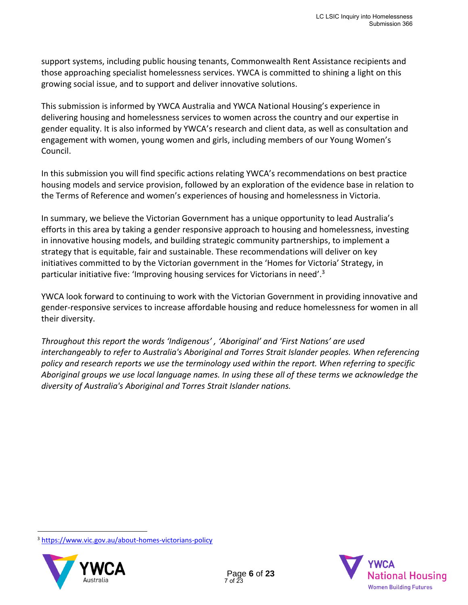support systems, including public housing tenants, Commonwealth Rent Assistance recipients and those approaching specialist homelessness services. YWCA is committed to shining a light on this growing social issue, and to support and deliver innovative solutions.

This submission is informed by YWCA Australia and YWCA National Housing's experience in delivering housing and homelessness services to women across the country and our expertise in gender equality. It is also informed by YWCA's research and client data, as well as consultation and engagement with women, young women and girls, including members of our [Young Women's](https://www.ywca.org.au/young-womens-council/)  [Council.](https://www.ywca.org.au/young-womens-council/)

In this submission you will find specific actions relating YWCA's recommendations on best practice housing models and service provision, followed by an exploration of the evidence base in relation to the Terms of Reference and women's experiences of housing and homelessness in Victoria.

In summary, we believe the Victorian Government has a unique opportunity to lead Australia's efforts in this area by taking a gender responsive approach to housing and homelessness, investing in innovative housing models, and building strategic community partnerships, to implement a strategy that is equitable, fair and sustainable. These recommendations will deliver on key initiatives committed to by the Victorian government in the 'Homes for Victoria' Strategy, in particular initiative five: 'Improving housing services for Victorians in need'.<sup>3</sup>

YWCA look forward to continuing to work with the Victorian Government in providing innovative and gender-responsive services to increase affordable housing and reduce homelessness for women in all their diversity.

*Throughout this report the words 'Indigenous' , 'Aboriginal' and 'First Nations' are used interchangeably to refer to Australia's Aboriginal and Torres Strait Islander peoples. When referencing policy and research reports we use the terminology used within the report. When referring to specific Aboriginal groups we use local language names. In using these all of these terms we acknowledge the diversity of Australia's Aboriginal and Torres Strait Islander nations.*

<sup>3</sup> <https://www.vic.gov.au/about-homes-victorians-policy>



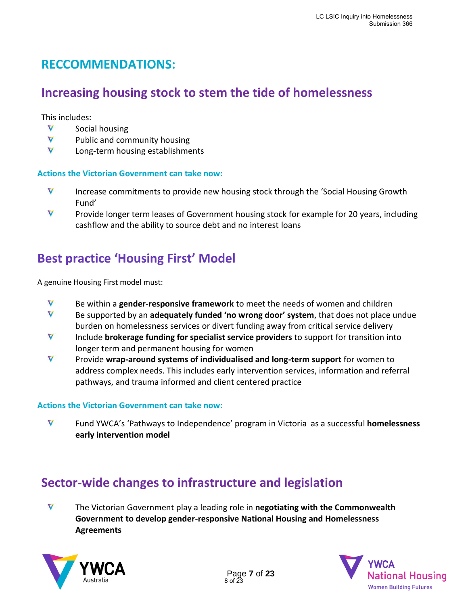### **RECCOMMENDATIONS:**

### **Increasing housing stock to stem the tide of homelessness**

This includes:

- $\blacktriangledown$ Social housing
- $\blacktriangledown$ Public and community housing
- $\blacktriangledown$ Long-term housing establishments

### **Actions the Victorian Government can take now:**

- $\blacktriangledown$ Increase commitments to provide new housing stock through the 'Social Housing Growth Fund'
- V Provide longer term leases of Government housing stock for example for 20 years, including cashflow and the ability to source debt and no interest loans

### **Best practice 'Housing First' Model**

A genuine Housing First model must:

- V Be within a **gender-responsive framework** to meet the needs of women and children
- $\triangledown$ Be supported by an **adequately funded 'no wrong door' system**, that does not place undue burden on homelessness services or divert funding away from critical service delivery
- $\overline{\mathbf{V}}$ Include **brokerage funding for specialist service providers** to support for transition into longer term and permanent housing for women
- $\blacktriangledown$ Provide **wrap-around systems of individualised and long-term support** for women to address complex needs. This includes early intervention services, information and referral pathways, and trauma informed and client centered practice

### **Actions the Victorian Government can take now:**

V Fund YWCA's ['Pathways to Independence'](https://www.ywca.org.au/programs/housing-and-homelessness-support/homelessness-services/) program in Victoria as a successful **homelessness early intervention model**

### **Sector-wide changes to infrastructure and legislation**

 $\triangledown$ The Victorian Government play a leading role in **negotiating with the Commonwealth Government to develop gender-responsive National Housing and Homelessness Agreements**



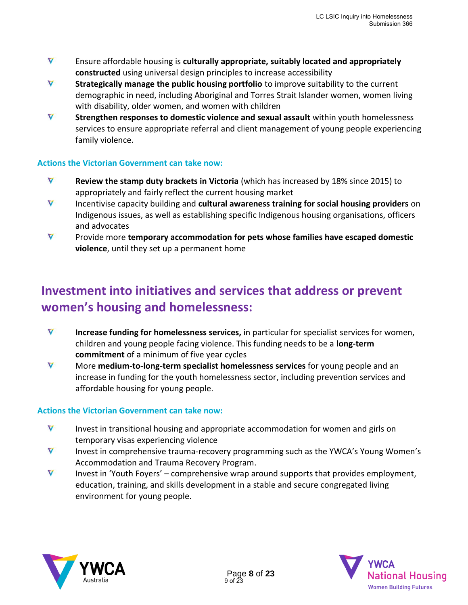- V Ensure affordable housing is **culturally appropriate, suitably located and appropriately constructed** using universal design principles to increase accessibility
- $\blacktriangledown$ **Strategically manage the public housing portfolio** to improve suitability to the current demographic in need, including Aboriginal and Torres Strait Islander women, women living with disability, older women, and women with children
- V **Strengthen responses to domestic violence and sexual assault** within youth homelessness services to ensure appropriate referral and client management of young people experiencing family violence.

### **Actions the Victorian Government can take now:**

- $\triangledown$ **Review the stamp duty brackets in Victoria** (which has increased by 18% since 2015) to appropriately and fairly reflect the current housing market
- V Incentivise capacity building and **cultural awareness training for social housing providers** on Indigenous issues, as well as establishing specific Indigenous housing organisations, officers and advocates
- V Provide more **temporary accommodation for pets whose families have escaped domestic violence**, until they set up a permanent home

### **Investment into initiatives and services that address or prevent women's housing and homelessness:**

- V **Increase funding for homelessness services,** in particular for specialist services for women, children and young people facing violence. This funding needs to be a **long-term commitment** of a minimum of five year cycles
- $\triangledown$ More **medium-to-long-term specialist homelessness services** for young people and an increase in funding for the youth homelessness sector, including prevention services and affordable housing for young people.

### **Actions the Victorian Government can take now:**

- V Invest in transitional housing and appropriate accommodation for women and girls on temporary visas experiencing violence
- V Invest in comprehensive trauma-recovery programming such as the YWCA's Young Women's Accommodation and Trauma Recovery Program.
- $\triangledown$ Invest in 'Youth Foyers' – comprehensive wrap around supports that provides employment, education, training, and skills development in a stable and secure congregated living environment for young people.



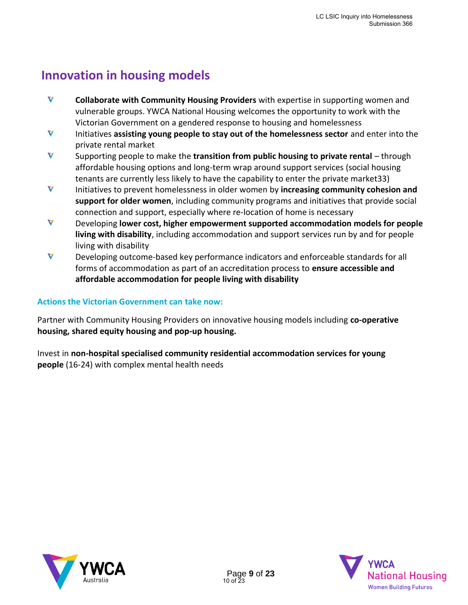### **Innovation in housing models**

- V **Collaborate with Community Housing Providers** with expertise in supporting women and vulnerable groups. YWCA National Housing welcomes the opportunity to work with the Victorian Government on a gendered response to housing and homelessness
- $\triangledown$ Initiatives **assisting young people to stay out of the homelessness sector** and enter into the private rental market
- $\blacktriangledown$ Supporting people to make the **transition from public housing to private rental** – through affordable housing options and long-term wrap around support services (social housing tenants are currently less likely to have the capability to enter the private market33)
- V Initiatives to prevent homelessness in older women by **increasing community cohesion and support for older women**, including community programs and initiatives that provide social connection and support, especially where re-location of home is necessary
- $\triangledown$ Developing **lower cost, higher empowerment supported accommodation models for people living with disability**, including accommodation and support services run by and for people living with disability
- $\triangledown$ Developing outcome-based key performance indicators and enforceable standards for all forms of accommodation as part of an accreditation process to **ensure accessible and affordable accommodation for people living with disability**

### **Actions the Victorian Government can take now:**

Partner with Community Housing Providers on innovative housing models including **co-operative housing, shared equity housing and pop-up housing.** 

Invest in **non-hospital specialised community residential accommodation services for young people** (16-24) with complex mental health needs

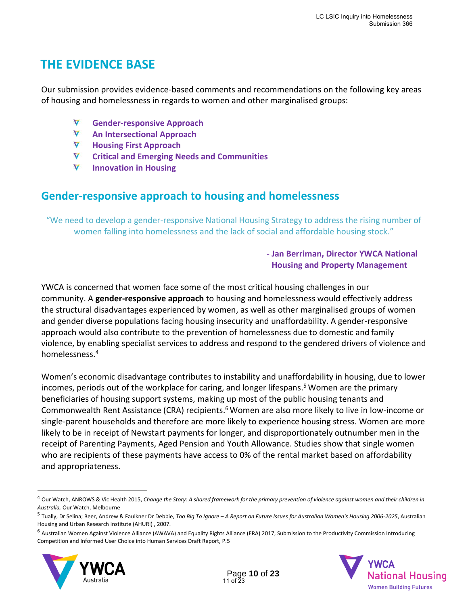### **THE EVIDENCE BASE**

Our submission provides evidence-based comments and recommendations on the following key areas of housing and homelessness in regards to women and other marginalised groups:

- V **Gender-responsive Approach**
- V **An Intersectional Approach**
- V **Housing First Approach**
- V **Critical and Emerging Needs and Communities**
- V **Innovation in Housing**

### **Gender-responsive approach to housing and homelessness**

"We need to develop a gender-responsive National Housing Strategy to address the rising number of women falling into homelessness and the lack of social and affordable housing stock."

### **- Jan Berriman, Director YWCA National Housing and Property Management**

YWCA is concerned that women face some of the most critical housing challenges in our community. A **gender-responsive approach** to housing and homelessness would effectively address the structural disadvantages experienced by women, as well as other marginalised groups of women and gender diverse populations facing housing insecurity and unaffordability. A gender-responsive approach would also contribute to the prevention of homelessness due to domestic and family violence, by enabling specialist services to address and respond to the gendered drivers of violence and homelessness. 4

Women's economic disadvantage contributes to instability and unaffordability in housing, due to lower incomes, periods out of the workplace for caring, and longer lifespans. <sup>5</sup> Women are the primary beneficiaries of housing support systems, making up most of the public housing tenants and Commonwealth Rent Assistance (CRA) recipients. <sup>6</sup> Women are also more likely to live in low-income or single-parent households and therefore are more likely to experience housing stress. Women are more likely to be in receipt of Newstart payments for longer, and disproportionately outnumber men in the receipt of Parenting Payments, Aged Pension and Youth Allowance. Studies show that single women who are recipients of these payments have access to 0% of the rental market based on affordability and appropriateness.

<sup>&</sup>lt;sup>6</sup> Australian Women Against Violence Alliance (AWAVA) and Equality Rights Alliance (ERA) 2017, Submission to the Productivity Commission Introducing Competition and Informed User Choice into Human Services Draft Report, P.5





<sup>4</sup> Our Watch, ANROWS & Vic Health 2015, *Change the Story: A shared framework for the primary prevention of violence against women and their children in Australia,* Our Watch, Melbourne

<sup>5</sup> Tually, Dr Selina; Beer, Andrew & Faulkner Dr Debbie, *Too Big To Ignore – A Report on Future Issues for Australian Women's Housing 2006-2025*, Australian Housing and Urban Research Institute (AHURI) , 2007.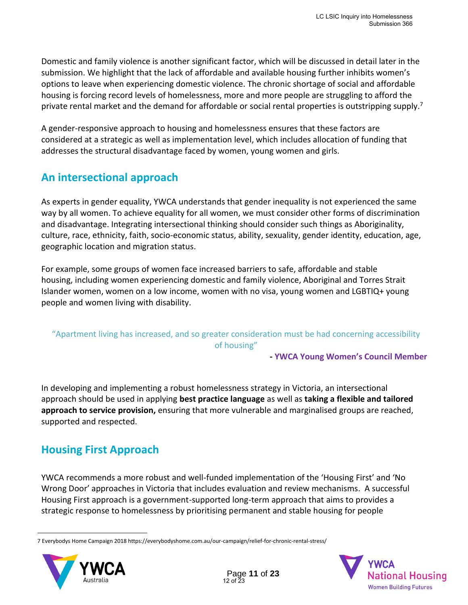Domestic and family violence is another significant factor, which will be discussed in detail later in the submission. We highlight that the lack of affordable and available housing further inhibits women's options to leave when experiencing domestic violence. The chronic shortage of social and affordable housing is forcing record levels of homelessness, more and more people are struggling to afford the private rental market and the demand for affordable or social rental properties is outstripping supply.<sup>7</sup>

A gender-responsive approach to housing and homelessness ensures that these factors are considered at a strategic as well as implementation level, which includes allocation of funding that addresses the structural disadvantage faced by women, young women and girls.

### **An intersectional approach**

As experts in gender equality, YWCA understands that gender inequality is not experienced the same way by all women. To achieve equality for all women, we must consider other forms of discrimination and disadvantage. Integrating intersectional thinking should consider such things as Aboriginality, culture, race, ethnicity, faith, socio-economic status, ability, sexuality, gender identity, education, age, geographic location and migration status.

For example, some groups of women face increased barriers to safe, affordable and stable housing, including women experiencing domestic and family violence, Aboriginal and Torres Strait Islander women, women on a low income, women with no visa, young women and LGBTIQ+ young people and women living with disability.

### "Apartment living has increased, and so greater consideration must be had concerning accessibility of housing"

**- YWCA Young Women's Council Member**

In developing and implementing a robust homelessness strategy in Victoria, an intersectional approach should be used in applying **best practice language** as well as **taking a flexible and tailored approach to service provision,** ensuring that more vulnerable and marginalised groups are reached, supported and respected.

### **Housing First Approach**

YWCA recommends a more robust and well-funded implementation of the 'Housing First' and 'No Wrong Door' approaches in Victoria that includes evaluation and review mechanisms. A successful Housing First approach is a government-supported long-term approach that aims to provides a strategic response to homelessness by prioritising permanent and stable housing for people

<sup>7</sup> Everybodys Home Campaign 2018 https://everybodyshome.com.au/our-campaign/relief-for-chronic-rental-stress/



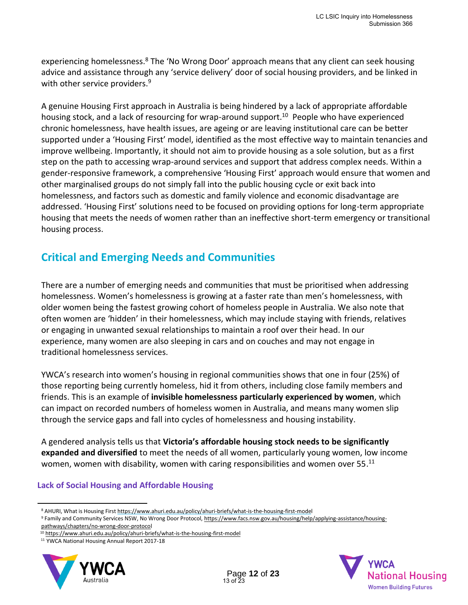experiencing homelessness.<sup>8</sup> The 'No Wrong Door' approach means that any client can seek housing advice and assistance through any 'service delivery' door of social housing providers, and be linked in with other service providers.<sup>9</sup>

A genuine Housing First approach in Australia is being hindered by a lack of appropriate affordable housing stock, and a lack of resourcing for wrap-around support.<sup>10</sup> People who have experienced chronic homelessness, have health issues, are ageing or are leaving institutional care can be better supported under a 'Housing First' model, identified as the most effective way to maintain tenancies and improve wellbeing. Importantly, it should not aim to provide housing as a sole solution, but as a first step on the path to accessing wrap-around services and support that address complex needs. Within a gender-responsive framework, a comprehensive 'Housing First' approach would ensure that women and other marginalised groups do not simply fall into the public housing cycle or exit back into homelessness, and factors such as domestic and family violence and economic disadvantage are addressed. 'Housing First' solutions need to be focused on providing options for long-term appropriate housing that meets the needs of women rather than an ineffective short-term emergency or transitional housing process.

### **Critical and Emerging Needs and Communities**

There are a number of emerging needs and communities that must be prioritised when addressing homelessness. Women's homelessness is growing at a faster rate than men's homelessness, with older women being the fastest growing cohort of homeless people in Australia. We also note that often women are 'hidden' in their homelessness, which may include staying with friends, relatives or engaging in unwanted sexual relationships to maintain a roof over their head. In our experience, many women are also sleeping in cars and on couches and may not engage in traditional homelessness services.

YWCA's research into women's housing in regional communities shows that one in four (25%) of those reporting being currently homeless, hid it from others, including close family members and friends. This is an example of **invisible homelessness particularly experienced by women**, which can impact on recorded numbers of homeless women in Australia, and means many women slip through the service gaps and fall into cycles of homelessness and housing instability.

A gendered analysis tells us that **Victoria's affordable housing stock needs to be significantly expanded and diversified** to meet the needs of all women, particularly young women, low income women, women with disability, women with caring responsibilities and women over 55. $^{11}$ 

#### **Lack of Social Housing and Affordable Housing**

<sup>11</sup> YWCA National Housing Annual Report 2017-18





<sup>8</sup> AHURI, What is Housing Firs[t https://www.ahuri.edu.au/policy/ahuri-briefs/what-is-the-housing-first-model](https://www.ahuri.edu.au/policy/ahuri-briefs/what-is-the-housing-first-model)

<sup>9</sup> Family and Community Services NSW, No Wrong Door Protocol[, https://www.facs.nsw.gov.au/housing/help/applying-assistance/housing](https://www.facs.nsw.gov.au/housing/help/applying-assistance/housing-pathways/chapters/no-wrong-door-protocol)[pathways/chapters/no-wrong-door-protocol](https://www.facs.nsw.gov.au/housing/help/applying-assistance/housing-pathways/chapters/no-wrong-door-protocol)

<sup>10</sup> <https://www.ahuri.edu.au/policy/ahuri-briefs/what-is-the-housing-first-model>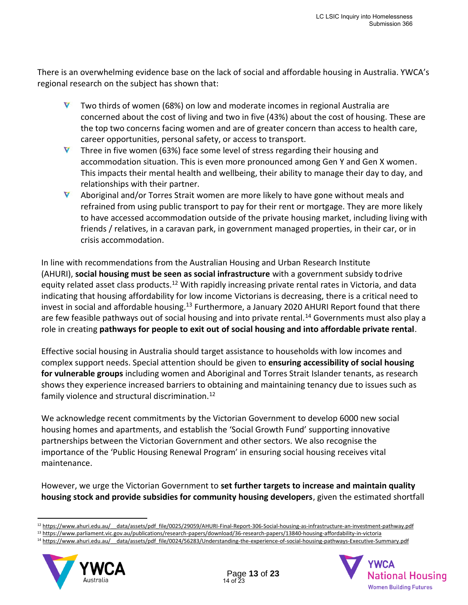There is an overwhelming evidence base on the lack of social and affordable housing in Australia. YWCA's regional research on the subject has shown that:

- V Two thirds of women (68%) on low and moderate incomes in regional Australia are concerned about the cost of living and two in five (43%) about the cost of housing. These are the top two concerns facing women and are of greater concern than access to health care, career opportunities, personal safety, or access to transport.
- **V** Three in five women (63%) face some level of stress regarding their housing and accommodation situation. This is even more pronounced among Gen Y and Gen X women. This impacts their mental health and wellbeing, their ability to manage their day to day, and relationships with their partner.
- V Aboriginal and/or Torres Strait women are more likely to have gone without meals and refrained from using public transport to pay for their rent or mortgage. They are more likely to have accessed accommodation outside of the private housing market, including living with friends / relatives, in a caravan park, in government managed properties, in their car, or in crisis accommodation.

In line with recommendations from the Australian Housing and Urban Research Institute (AHURI), **social housing must be seen as social infrastructure** with a government subsidy todrive equity related asset class products.<sup>12</sup> With rapidly increasing private rental rates in Victoria, and data indicating that housing affordability for low income Victorians is decreasing, there is a critical need to invest in social and affordable housing.<sup>13</sup> Furthermore, a January 2020 AHURI Report found that there are few feasible pathways out of social housing and into private rental.<sup>14</sup> Governments must also play a role in creating **pathways for people to exit out of social housing and into affordable private rental**.

Effective social housing in Australia should target assistance to households with low incomes and complex support needs. Special attention should be given to **ensuring accessibility of social housing for vulnerable groups** including women and Aboriginal and Torres Strait Islander tenants, as research shows they experience increased barriers to obtaining and maintaining tenancy due to issues such as family violence and structural discrimination.<sup>12</sup>

We acknowledge recent commitments by the Victorian Government to develop 6000 new social housing homes and apartments, and establish the 'Social Growth Fund' supporting innovative partnerships between the Victorian Government and other sectors. We also recognise the importance of the 'Public Housing Renewal Program' in ensuring social housing receives vital maintenance.

However, we urge the Victorian Government to **set further targets to increase and maintain quality housing stock and provide subsidies for community housing developers**, given the estimated shortfall

<sup>14</sup> https://www.ahuri.edu.au/ data/assets/pdf file/0024/56283/Understanding-the-experience-of-social-housing-pathways-Executive-Summary.pdf



<sup>&</sup>lt;sup>12</sup> https://www.ahuri.edu.au/ data/assets/pdf\_file/0025/29059/AHURI-Final-Report-306-Social-housing-as-infrastructure-an-investment-pathway.pdf

<sup>13</sup> <https://www.parliament.vic.gov.au/publications/research-papers/download/36-research-papers/13840-housing-affordability-in-victoria>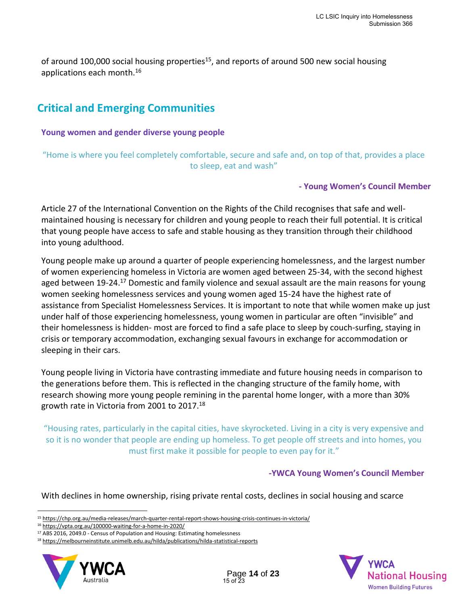of around 100,000 social housing properties<sup>15</sup>, and reports of around 500 new social housing applications each month.<sup>16</sup>

### **Critical and Emerging Communities**

**Young women and gender diverse young people**

"Home is where you feel completely comfortable, secure and safe and, on top of that, provides a place to sleep, eat and wash"

### **- Young Women's Council Member**

Article 27 of the International Convention on the Rights of the Child recognises that safe and wellmaintained housing is necessary for children and young people to reach their full potential. It is critical that young people have access to safe and stable housing as they transition through their childhood into young adulthood.

Young people make up around a quarter of people experiencing homelessness, and the largest number of women experiencing homeless in Victoria are women aged between 25-34, with the second highest aged between 19-24.<sup>17</sup> Domestic and family violence and sexual assault are the main reasons for young women seeking homelessness services and young women aged 15-24 have the highest rate of assistance from Specialist Homelessness Services. It is important to note that while women make up just under half of those experiencing homelessness, young women in particular are often "invisible" and their homelessness is hidden- most are forced to find a safe place to sleep by couch-surfing, staying in crisis or temporary accommodation, exchanging sexual favours in exchange for accommodation or sleeping in their cars.

Young people living in Victoria have contrasting immediate and future housing needs in comparison to the generations before them. This is reflected in the changing structure of the family home, with research showing more young people remining in the parental home longer, with a more than 30% growth rate in Victoria from 2001 to 2017.<sup>18</sup>

"Housing rates, particularly in the capital cities, have skyrocketed. Living in a city is very expensive and so it is no wonder that people are ending up homeless. To get people off streets and into homes, you must first make it possible for people to even pay for it."

### **-YWCA Young Women's Council Member**

With declines in home ownership, rising private rental costs, declines in social housing and scarce

<sup>18</sup> <https://melbourneinstitute.unimelb.edu.au/hilda/publications/hilda-statistical-reports>





<sup>15</sup> <https://chp.org.au/media-releases/march-quarter-rental-report-shows-housing-crisis-continues-in-victoria/>

<sup>16</sup> <https://vpta.org.au/100000-waiting-for-a-home-in-2020/>

<sup>&</sup>lt;sup>17</sup> ABS 2016, 2049.0 - Census of Population and Housing: Estimating homelessness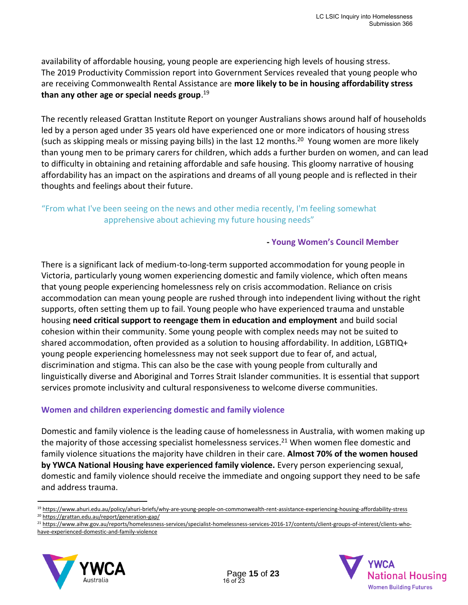availability of affordable housing, young people are experiencing high levels of housing stress. The 2019 Productivity Commission report into Government Services revealed that young people who are receiving Commonwealth Rental Assistance are **more likely to be in housing affordability stress than any other age or special needs group**. 19

The recently released Grattan Institute Report on younger Australians shows around half of households led by a person aged under 35 years old have experienced one or more indicators of housing stress (such as skipping meals or missing paying bills) in the last 12 months. <sup>20</sup> Young women are more likely than young men to be primary carers for children, which adds a further burden on women, and can lead to difficulty in obtaining and retaining affordable and safe housing. This gloomy narrative of housing affordability has an impact on the aspirations and dreams of all young people and is reflected in their thoughts and feelings about their future.

### "From what I've been seeing on the news and other media recently, I'm feeling somewhat apprehensive about achieving my future housing needs"

#### **- Young Women's Council Member**

There is a significant lack of medium-to-long-term supported accommodation for young people in Victoria, particularly young women experiencing domestic and family violence, which often means that young people experiencing homelessness rely on crisis accommodation. Reliance on crisis accommodation can mean young people are rushed through into independent living without the right supports, often setting them up to fail. Young people who have experienced trauma and unstable housing **need critical support to reengage them in education and employment** and build social cohesion within their community. Some young people with complex needs may not be suited to shared accommodation, often provided as a solution to housing affordability. In addition, LGBTIQ+ young people experiencing homelessness may not seek support due to fear of, and actual, discrimination and stigma. This can also be the case with young people from culturally and linguistically diverse and Aboriginal and Torres Strait Islander communities. It is essential that support services promote inclusivity and cultural responsiveness to welcome diverse communities.

#### **Women and children experiencing domestic and family violence**

Domestic and family violence is the leading cause of homelessness in Australia, with women making up the majority of those accessing specialist homelessness services.<sup>21</sup> When women flee domestic and family violence situations the majority have children in their care. **Almost 70% of the women housed by YWCA National Housing have experienced family violence.** Every person experiencing sexual, domestic and family violence should receive the immediate and ongoing support they need to be safe and address trauma.

<sup>19</sup> <https://www.ahuri.edu.au/policy/ahuri-briefs/why-are-young-people-on-commonwealth-rent-assistance-experiencing-housing-affordability-stress>

<sup>&</sup>lt;sup>21</sup> [https://www.aihw.gov.au/reports/homelessness-services/specialist-homelessness-services-2016-17/contents/client-groups-of-interest/clients-who](https://www.aihw.gov.au/reports/homelessness-services/specialist-homelessness-services-2016-17/contents/client-groups-of-interest/clients-who-have-experienced-domestic-and-family-violence)[have-experienced-domestic-and-family-violence](https://www.aihw.gov.au/reports/homelessness-services/specialist-homelessness-services-2016-17/contents/client-groups-of-interest/clients-who-have-experienced-domestic-and-family-violence)





<sup>20</sup> <https://grattan.edu.au/report/generation-gap/>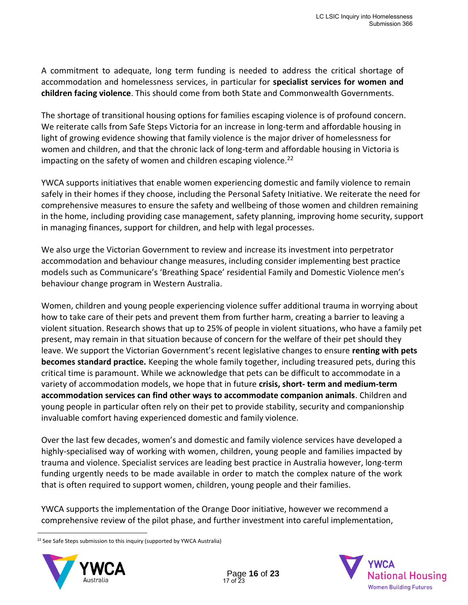A commitment to adequate, long term funding is needed to address the critical shortage of accommodation and homelessness services, in particular for **specialist services for women and children facing violence**. This should come from both State and Commonwealth Governments.

The shortage of transitional housing options for families escaping violence is of profound concern. We reiterate calls from Safe Steps Victoria for an increase in long-term and affordable housing in light of growing evidence showing that family violence is the major driver of homelessness for women and children, and that the chronic lack of long-term and affordable housing in Victoria is impacting on the safety of women and children escaping violence.<sup>22</sup>

YWCA supports initiatives that enable women experiencing domestic and family violence to remain safely in their homes if they choose, including the Personal Safety Initiative. We reiterate the need for comprehensive measures to ensure the safety and wellbeing of those women and children remaining in the home, including providing case management, safety planning, improving home security, support in managing finances, support for children, and help with legal processes.

We also urge the Victorian Government to review and increase its investment into perpetrator accommodation and behaviour change measures, including consider implementing best practice models such as Communicare's 'Breathing Space' residential Family and Domestic Violence men's behaviour change program in Western Australia.

Women, children and young people experiencing violence suffer additional trauma in worrying about how to take care of their pets and prevent them from further harm, creating a barrier to leaving a violent situation. Research shows that up to 25% of people in violent situations, who have a family pet present, may remain in that situation because of concern for the welfare of their pet should they leave. We support the Victorian Government's recent legislative changes to ensure **renting with pets becomes standard practice.** Keeping the whole family together, including treasured pets, during this critical time is paramount. While we acknowledge that pets can be difficult to accommodate in a variety of accommodation models, we hope that in future **crisis, short- term and medium-term accommodation services can find other ways to accommodate companion animals**. Children and young people in particular often rely on their pet to provide stability, security and companionship invaluable comfort having experienced domestic and family violence.

Over the last few decades, women's and domestic and family violence services have developed a highly-specialised way of working with women, children, young people and families impacted by trauma and violence. Specialist services are leading best practice in Australia however, long-term funding urgently needs to be made available in order to match the complex nature of the work that is often required to support women, children, young people and their families.

YWCA supports the implementation of the Orange Door initiative, however we recommend a comprehensive review of the pilot phase, and further investment into careful implementation,

<sup>&</sup>lt;sup>22</sup> See Safe Steps submission to this inquiry (supported by YWCA Australia)



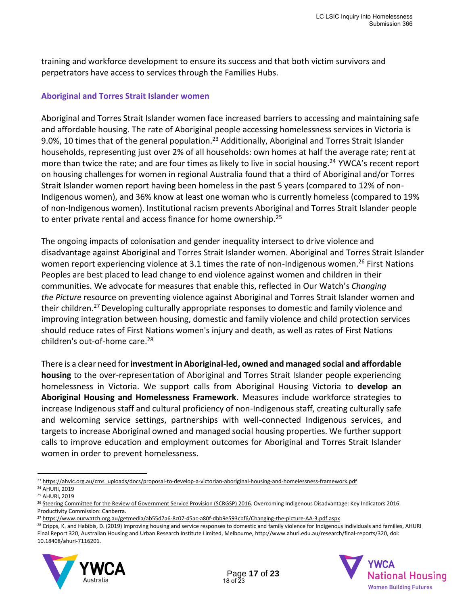training and workforce development to ensure its success and that both victim survivors and perpetrators have access to services through the Families Hubs.

### **Aboriginal and Torres Strait Islander women**

Aboriginal and Torres Strait Islander women face increased barriers to accessing and maintaining safe and affordable housing. The rate of Aboriginal people accessing homelessness services in Victoria is 9.0%, 10 times that of the general population.<sup>23</sup> Additionally, Aboriginal and Torres Strait Islander households, representing just over 2% of all households: own homes at half the average rate; rent at more than twice the rate; and are four times as likely to live in social housing.<sup>24</sup> YWCA's recent report on housing challenges for women in regional Australia found that a third of Aboriginal and/or Torres Strait Islander women report having been homeless in the past 5 years (compared to 12% of non-Indigenous women), and 36% know at least one woman who is currently homeless (compared to 19% of non-Indigenous women). Institutional racism prevents Aboriginal and Torres Strait Islander people to enter private rental and access finance for home ownership.<sup>25</sup>

The ongoing impacts of colonisation and gender inequality intersect to drive violence and disadvantage against Aboriginal and Torres Strait Islander women. Aboriginal and Torres Strait Islander women report experiencing violence at 3.1 times the rate of non-Indigenous women.<sup>26</sup> First Nations Peoples are best placed to lead change to end violence against women and children in their communities. We advocate for measures that enable this, reflected in Our Watch's *Changing the Picture* resource on preventing violence against Aboriginal and Torres Strait Islander women and their children.<sup>27</sup> Developing culturally appropriate responses to domestic and family violence and improving integration between housing, domestic and family violence and child protection services should reduce rates of First Nations women's injury and death, as well as rates of First Nations children's out-of-home care. 28

There is a clear need for **investment in Aboriginal-led, owned and managed social and affordable housing** to the over-representation of Aboriginal and Torres Strait Islander people experiencing homelessness in Victoria. We support calls from Aboriginal Housing Victoria to **develop an Aboriginal Housing and Homelessness Framework**. Measures include workforce strategies to increase Indigenous staff and cultural proficiency of non-Indigenous staff, creating culturally safe and welcoming service settings, partnerships with well-connected Indigenous services, and targets to increase Aboriginal owned and managed social housing properties. We further support calls to improve education and employment outcomes for Aboriginal and Torres Strait Islander women in order to prevent homelessness.

<sup>&</sup>lt;sup>28</sup> Cripps, K. and Habibis, D. (2019) Improving housing and service responses to domestic and family violence for Indigenous individuals and families, AHURI Final Report 320, Australian Housing and Urban Research Institute Limited, Melbourne, [http://www.ahuri.edu.au/research/final-reports/320, d](http://www.ahuri.edu.au/research/final-reports/320)oi: 10.18408/ahuri-7116201.





<sup>&</sup>lt;sup>23</sup> [https://ahvic.org.au/cms\\_uploads/docs/proposal-to-develop-a-victorian-aboriginal-housing-and-homelessness-framework.pdf](https://ahvic.org.au/cms_uploads/docs/proposal-to-develop-a-victorian-aboriginal-housing-and-homelessness-framework.pdf) <sup>24</sup> AHURI, 2019

<sup>25</sup> AHURI, 2019

<sup>&</sup>lt;sup>26</sup> [Steering Committee for the Review of Government Service Provision \(SCRGSP\) 2016. O](https://www.pc.gov.au/research/ongoing/overcoming-indigenous-disadvantage/2016/report-documents/oid-2016-overcoming-indigenous-disadvantage-key-indicators-2016-report.pdf)vercoming Indigenous Disadvantage: Key Indicators 2016. Productivity Commission: Canberra.

<sup>27</sup> <https://www.ourwatch.org.au/getmedia/ab55d7a6-8c07-45ac-a80f-dbb9e593cbf6/Changing-the-picture-AA-3.pdf.aspx>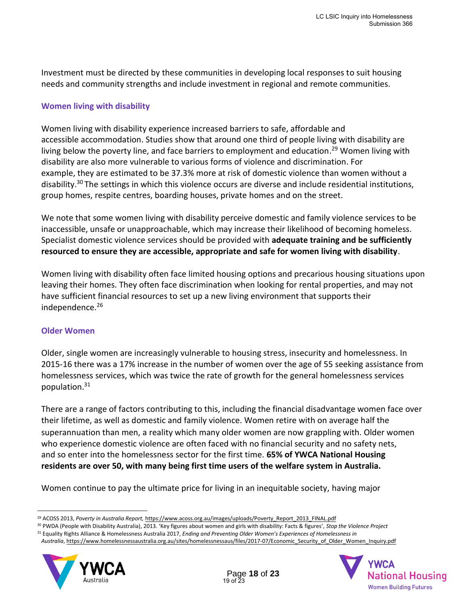Investment must be directed by these communities in developing local responses to suit housing needs and community strengths and include investment in regional and remote communities.

### **Women living with disability**

Women living with disability experience increased barriers to safe, affordable and accessible accommodation. Studies show that around one third of people living with disability are living below the poverty line, and face barriers to employment and education. <sup>29</sup> Women living with disability are also more vulnerable to various forms of violence and discrimination. For example, they are estimated to be 37.3% more at risk of domestic violence than women without a disability.<sup>30</sup> The settings in which this violence occurs are diverse and include residential institutions, group homes, respite centres, boarding houses, private homes and on the street.

We note that some women living with disability perceive domestic and family violence services to be inaccessible, unsafe or unapproachable, which may increase their likelihood of becoming homeless. Specialist domestic violence services should be provided with **adequate training and be sufficiently resourced to ensure they are accessible, appropriate and safe for women living with disability**.

Women living with disability often face limited housing options and precarious housing situations upon leaving their homes. They often face discrimination when looking for rental properties, and may not have sufficient financial resources to set up a new living environment that supports their independence.<sup>26</sup>

#### **Older Women**

Older, single women are increasingly vulnerable to housing stress, insecurity and homelessness. In 2015-16 there was a 17% increase in the number of women over the age of 55 seeking assistance from homelessness services, which was twice the rate of growth for the general homelessness services population.<sup>31</sup>

There are a range of factors contributing to this, including the financial disadvantage women face over their lifetime, as well as domestic and family violence. Women retire with on average half the superannuation than men, a reality which many older women are now grappling with. Older women who experience domestic violence are often faced with no financial security and no safety nets, and so enter into the homelessness sector for the first time. **65% of YWCA National Housing residents are over 50, with many being first time users of the welfare system in Australia.**

Women continue to pay the ultimate price for living in an inequitable society, having major

*Australia*[, https://www.homelessnessaustralia.org.au/sites/homelessnessaus/files/2017-07/Economic\\_Security\\_of\\_Older\\_Women\\_Inquiry.pdf](https://www.homelessnessaustralia.org.au/sites/homelessnessaus/files/2017-07/Economic_Security_of_Older_Women_Inquiry.pdf)





<sup>&</sup>lt;sup>29</sup> ACOSS 2013, Poverty in Australia Report, [https://www.acoss.org.au/images/uploads/Poverty\\_Report\\_2013\\_FINAL.pdf](https://www.acoss.org.au/images/uploads/Poverty_Report_2013_FINAL.pdf)

<sup>30</sup> PWDA (People with Disability Australia), 2013. 'Key figures about women and girls with disability: Facts & figures', *Stop the Violence Project*

<sup>31</sup> Equality Rights Alliance & Homelessness Australia 2017, *Ending and Preventing Older Women's Experiences of Homelessness in*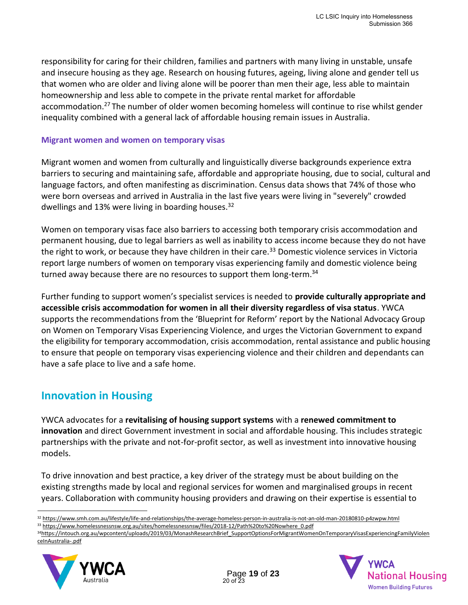responsibility for caring for their children, families and partners with many living in unstable, unsafe and insecure housing as they age. Research on housing futures, ageing, living alone and gender tell us that women who are older and living alone will be poorer than men their age, less able to maintain homeownership and less able to compete in the private rental market for affordable accommodation.<sup>27</sup> The number of older women becoming homeless will continue to rise whilst gender inequality combined with a general lack of affordable housing remain issues in Australia.

#### **Migrant women and women on temporary visas**

Migrant women and women from culturally and linguistically diverse backgrounds experience extra barriers to securing and maintaining safe, affordable and appropriate housing, due to social, cultural and language factors, and often manifesting as discrimination. Census data shows that 74% of those who were born overseas and arrived in Australia in the last five years were living in "severely" crowded dwellings and 13% were living in boarding houses.<sup>32</sup>

Women on temporary visas face also barriers to accessing both temporary crisis accommodation and permanent housing, due to legal barriers as well as inability to access income because they do not have the right to work, or because they have children in their care.<sup>33</sup> Domestic violence services in Victoria report large numbers of women on temporary visas experiencing family and domestic violence being turned away because there are no resources to support them long-term.<sup>34</sup>

Further funding to support women's specialist services is needed to **provide culturally appropriate and accessible crisis accommodation for women in all their diversity regardless of visa status**. YWCA supports the recommendations from the 'Blueprint for Reform' report by the National Advocacy Group on Women on Temporary Visas Experiencing Violence, and urges the Victorian Government to expand the eligibility for temporary accommodation, crisis accommodation, rental assistance and public housing to ensure that people on temporary visas experiencing violence and their children and dependants can have a safe place to live and a safe home.

### **Innovation in Housing**

YWCA advocates for a **revitalising of housing support systems** with a **renewed commitment to innovation** and direct Government investment in social and affordable housing. This includes strategic partnerships with the private and not-for-profit sector, as well as investment into innovative housing models.

To drive innovation and best practice, a key driver of the strategy must be about building on the existing strengths made by local and regional services for women and marginalised groups in recent years. Collaboration with community housing providers and drawing on their expertise is essential to

<sup>34</sup>[https://intouch.org.au/wpcontent/uploads/2019/03/MonashResearchBrief\\_SupportOptionsForMigrantWomenOnTemporaryVisasExperiencingFamilyViolen](https://intouch.org.au/wpcontent/uploads/2019/03/MonashResearchBrief_SupportOptionsForMigrantWomenOnTemporaryVisasExperiencingFamilyViolenceInAustralia-.pdf) [ceInAustralia-.pdf](https://intouch.org.au/wpcontent/uploads/2019/03/MonashResearchBrief_SupportOptionsForMigrantWomenOnTemporaryVisasExperiencingFamilyViolenceInAustralia-.pdf)





<sup>32</sup> <https://www.smh.com.au/lifestyle/life-and-relationships/the-average-homeless-person-in-australia-is-not-an-old-man-20180810-p4zwpw.html>

<sup>33</sup> [https://www.homelessnessnsw.org.au/sites/homelessnessnsw/files/2018-12/Path%20to%20Nowhere\\_0.pdf](https://www.homelessnessnsw.org.au/sites/homelessnessnsw/files/2018-12/Path%20to%20Nowhere_0.pdf)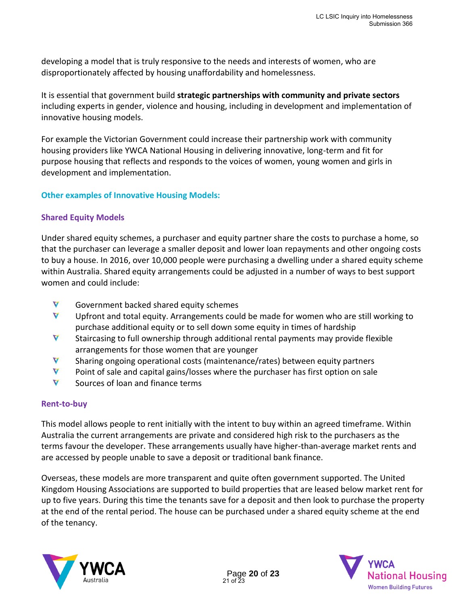developing a model that is truly responsive to the needs and interests of women, who are disproportionately affected by housing unaffordability and homelessness.

It is essential that government build **strategic partnerships with community and private sectors**  including experts in gender, violence and housing, including in development and implementation of innovative housing models.

For example the Victorian Government could increase their partnership work with community housing providers like YWCA National Housing in delivering innovative, long-term and fit for purpose housing that reflects and responds to the voices of women, young women and girls in development and implementation.

### **Other examples of Innovative Housing Models:**

#### **Shared Equity Models**

Under shared equity schemes, a purchaser and equity partner share the costs to purchase a home, so that the purchaser can leverage a smaller deposit and lower loan repayments and other ongoing costs to buy a house. In 2016, over 10,000 people were purchasing a dwelling under a shared equity scheme within Australia. Shared equity arrangements could be adjusted in a number of ways to best support women and could include:

- V Government backed shared equity schemes
- V Upfront and total equity. Arrangements could be made for women who are still working to purchase additional equity or to sell down some equity in times of hardship
- V Staircasing to full ownership through additional rental payments may provide flexible arrangements for those women that are younger
- V Sharing ongoing operational costs (maintenance/rates) between equity partners
- V Point of sale and capital gains/losses where the purchaser has first option on sale
- V Sources of loan and finance terms

#### **Rent-to-buy**

This model allows people to rent initially with the intent to buy within an agreed timeframe. Within Australia the current arrangements are private and considered high risk to the purchasers as the terms favour the developer. These arrangements usually have higher-than-average market rents and are accessed by people unable to save a deposit or traditional bank finance.

Overseas, these models are more transparent and quite often government supported. The United Kingdom Housing Associations are supported to build properties that are leased below market rent for up to five years. During this time the tenants save for a deposit and then look to purchase the property at the end of the rental period. The house can be purchased under a shared equity scheme at the end of the tenancy.



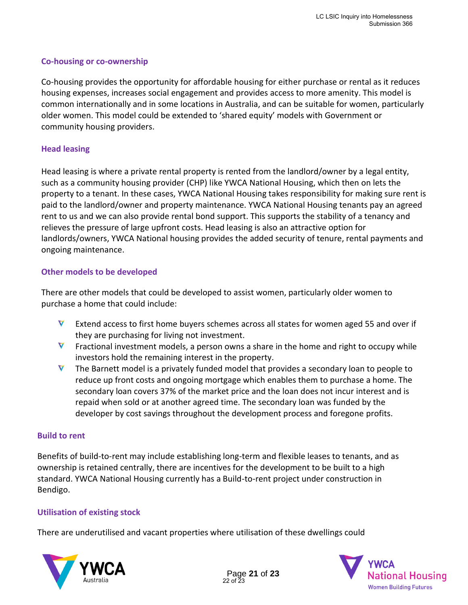### **Co-housing or co-ownership**

Co-housing provides the opportunity for affordable housing for either purchase or rental as it reduces housing expenses, increases social engagement and provides access to more amenity. This model is common internationally and in some locations in Australia, and can be suitable for women, particularly older women. This model could be extended to 'shared equity' models with Government or community housing providers.

### **Head leasing**

Head leasing is where a private rental property is rented from the landlord/owner by a legal entity, such as a community housing provider (CHP) like YWCA National Housing, which then on lets the property to a tenant. In these cases, YWCA National Housing takes responsibility for making sure rent is paid to the landlord/owner and property maintenance. YWCA National Housing tenants pay an agreed rent to us and we can also provide rental bond support. This supports the stability of a tenancy and relieves the pressure of large upfront costs. Head leasing is also an attractive option for landlords/owners, YWCA National housing provides the added security of tenure, rental payments and ongoing maintenance.

#### **Other models to be developed**

There are other models that could be developed to assist women, particularly older women to purchase a home that could include:

- V Extend access to first home buyers schemes across all states for women aged 55 and over if they are purchasing for living not investment.
- V Fractional investment models, a person owns a share in the home and right to occupy while investors hold the remaining interest in the property.
- V The Barnett model is a privately funded model that provides a secondary loan to people to reduce up front costs and ongoing mortgage which enables them to purchase a home. The secondary loan covers 37% of the market price and the loan does not incur interest and is repaid when sold or at another agreed time. The secondary loan was funded by the developer by cost savings throughout the development process and foregone profits.

#### **Build to rent**

Benefits of build-to-rent may include establishing long-term and flexible leases to tenants, and as ownership is retained centrally, there are incentives for the development to be built to a high standard. YWCA National Housing currently has a Build-to-rent project under construction in Bendigo.

### **Utilisation of existing stock**

There are underutilised and vacant properties where utilisation of these dwellings could